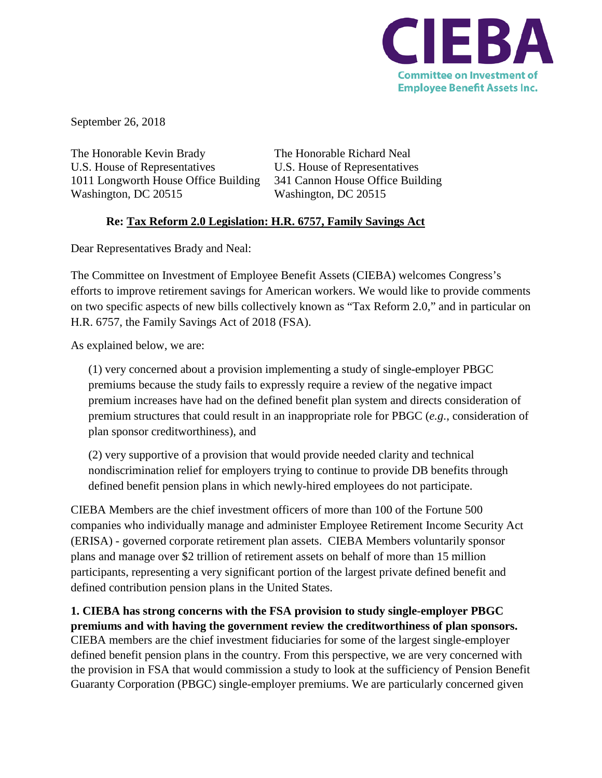

September 26, 2018

The Honorable Kevin Brady The Honorable Richard Neal U.S. House of Representatives U.S. House of Representatives 1011 Longworth House Office Building 341 Cannon House Office Building Washington, DC 20515 Washington, DC 20515

## **Re: Tax Reform 2.0 Legislation: H.R. 6757, Family Savings Act**

Dear Representatives Brady and Neal:

The Committee on Investment of Employee Benefit Assets (CIEBA) welcomes Congress's efforts to improve retirement savings for American workers. We would like to provide comments on two specific aspects of new bills collectively known as "Tax Reform 2.0," and in particular on H.R. 6757, the Family Savings Act of 2018 (FSA).

As explained below, we are:

(1) very concerned about a provision implementing a study of single-employer PBGC premiums because the study fails to expressly require a review of the negative impact premium increases have had on the defined benefit plan system and directs consideration of premium structures that could result in an inappropriate role for PBGC (*e.g.*, consideration of plan sponsor creditworthiness), and

(2) very supportive of a provision that would provide needed clarity and technical nondiscrimination relief for employers trying to continue to provide DB benefits through defined benefit pension plans in which newly-hired employees do not participate.

CIEBA Members are the chief investment officers of more than 100 of the Fortune 500 companies who individually manage and administer Employee Retirement Income Security Act (ERISA) - governed corporate retirement plan assets. CIEBA Members voluntarily sponsor plans and manage over \$2 trillion of retirement assets on behalf of more than 15 million participants, representing a very significant portion of the largest private defined benefit and defined contribution pension plans in the United States.

**1. CIEBA has strong concerns with the FSA provision to study single-employer PBGC premiums and with having the government review the creditworthiness of plan sponsors.** CIEBA members are the chief investment fiduciaries for some of the largest single-employer defined benefit pension plans in the country. From this perspective, we are very concerned with the provision in FSA that would commission a study to look at the sufficiency of Pension Benefit Guaranty Corporation (PBGC) single-employer premiums. We are particularly concerned given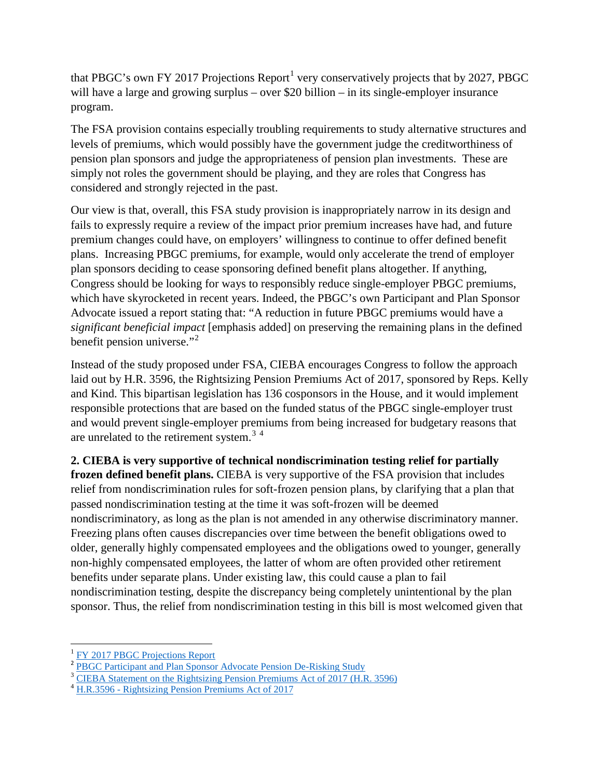that PBGC's own FY 20[1](#page-1-0)7 Projections Report<sup>1</sup> very conservatively projects that by 2027, PBGC will have a large and growing surplus – over \$20 billion – in its single-employer insurance program.

The FSA provision contains especially troubling requirements to study alternative structures and levels of premiums, which would possibly have the government judge the creditworthiness of pension plan sponsors and judge the appropriateness of pension plan investments. These are simply not roles the government should be playing, and they are roles that Congress has considered and strongly rejected in the past.

Our view is that, overall, this FSA study provision is inappropriately narrow in its design and fails to expressly require a review of the impact prior premium increases have had, and future premium changes could have, on employers' willingness to continue to offer defined benefit plans. Increasing PBGC premiums, for example, would only accelerate the trend of employer plan sponsors deciding to cease sponsoring defined benefit plans altogether. If anything, Congress should be looking for ways to responsibly reduce single-employer PBGC premiums, which have skyrocketed in recent years. Indeed, the PBGC's own Participant and Plan Sponsor Advocate issued a report stating that: "A reduction in future PBGC premiums would have a *significant beneficial impact* [emphasis added] on preserving the remaining plans in the defined benefit pension universe." $2$ 

Instead of the study proposed under FSA, CIEBA encourages Congress to follow the approach laid out by H.R. 3596, the Rightsizing Pension Premiums Act of 2017, sponsored by Reps. Kelly and Kind. This bipartisan legislation has 136 cosponsors in the House, and it would implement responsible protections that are based on the funded status of the PBGC single-employer trust and would prevent single-employer premiums from being increased for budgetary reasons that are unrelated to the retirement system.<sup>[3](#page-1-2)[4](#page-1-3)</sup>

**2. CIEBA is very supportive of technical nondiscrimination testing relief for partially frozen defined benefit plans.** CIEBA is very supportive of the FSA provision that includes relief from nondiscrimination rules for soft-frozen pension plans, by clarifying that a plan that passed nondiscrimination testing at the time it was soft-frozen will be deemed nondiscriminatory, as long as the plan is not amended in any otherwise discriminatory manner. Freezing plans often causes discrepancies over time between the benefit obligations owed to older, generally highly compensated employees and the obligations owed to younger, generally non-highly compensated employees, the latter of whom are often provided other retirement benefits under separate plans. Under existing law, this could cause a plan to fail nondiscrimination testing, despite the discrepancy being completely unintentional by the plan sponsor. Thus, the relief from nondiscrimination testing in this bill is most welcomed given that

<span id="page-1-1"></span><span id="page-1-0"></span><sup>&</sup>lt;sup>1</sup> [FY 2017 PBGC Projections Report](https://www.pbgc.gov/sites/default/files/fy-2017-projections-report.pdf)<br><sup>2</sup> PBGC Participant and Plan Sponsor Advocate Pension De-Risking Study

<span id="page-1-2"></span> $3$  [CIEBA Statement on the Rightsizing Pension Premiums Act of 2017 \(H.R. 3596\)](https://cieba.memberclicks.net/assets/Comment_Letters/db-premiums_kelly-kind_letter020518%20002.pdf)

<span id="page-1-3"></span><sup>&</sup>lt;sup>4</sup> H.R.3596 - [Rightsizing Pension Premiums Act of 2017](https://www.congress.gov/bill/115th-congress/house-bill/3596)